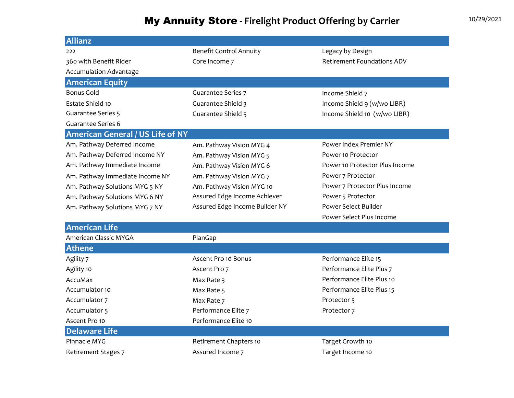## My Annuity Store - Firelight Product Offering by Carrier 10/29/2021

| <b>Allianz</b>                          |                                |                                   |
|-----------------------------------------|--------------------------------|-----------------------------------|
| 222                                     | <b>Benefit Control Annuity</b> | Legacy by Design                  |
| 360 with Benefit Rider                  | Core Income 7                  | <b>Retirement Foundations ADV</b> |
| <b>Accumulation Advantage</b>           |                                |                                   |
| <b>American Equity</b>                  |                                |                                   |
| <b>Bonus Gold</b>                       | <b>Guarantee Series 7</b>      | Income Shield 7                   |
| Estate Shield 10                        | Guarantee Shield 3             | Income Shield 9 (w/wo LIBR)       |
| <b>Guarantee Series 5</b>               | Guarantee Shield 5             | Income Shield 10 (w/wo LIBR)      |
| Guarantee Series 6                      |                                |                                   |
| <b>American General / US Life of NY</b> |                                |                                   |
| Am. Pathway Deferred Income             | Am. Pathway Vision MYG 4       | Power Index Premier NY            |
| Am. Pathway Deferred Income NY          | Am. Pathway Vision MYG 5       | Power 10 Protector                |
| Am. Pathway Immediate Income            | Am. Pathway Vision MYG 6       | Power 10 Protector Plus Income    |
| Am. Pathway Immediate Income NY         | Am. Pathway Vision MYG 7       | Power 7 Protector                 |
| Am. Pathway Solutions MYG 5 NY          | Am. Pathway Vision MYG 10      | Power 7 Protector Plus Income     |
| Am. Pathway Solutions MYG 6 NY          | Assured Edge Income Achiever   | Power 5 Protector                 |
| Am. Pathway Solutions MYG 7 NY          | Assured Edge Income Builder NY | Power Select Builder              |
|                                         |                                | Power Select Plus Income          |
| <b>American Life</b>                    |                                |                                   |
| American Classic MYGA                   | PlanGap                        |                                   |
| <b>Athene</b>                           |                                |                                   |
| Agility 7                               | Ascent Pro 10 Bonus            | Performance Elite 15              |
| Agility 10                              | Ascent Pro 7                   | Performance Elite Plus 7          |
| AccuMax                                 | Max Rate 3                     | Performance Elite Plus 10         |
| Accumulator 10                          | Max Rate 5                     | Performance Elite Plus 15         |
| Accumulator 7                           | Max Rate 7                     | Protector 5                       |
| Accumulator 5                           | Performance Elite 7            | Protector 7                       |
| Ascent Pro 10                           | Performance Elite 10           |                                   |
| <b>Delaware Life</b>                    |                                |                                   |
| Pinnacle MYG                            | Retirement Chapters 10         | Target Growth 10                  |

Retirement Stages 7 Assured Income 7 Assured Income 7 and Target Income 10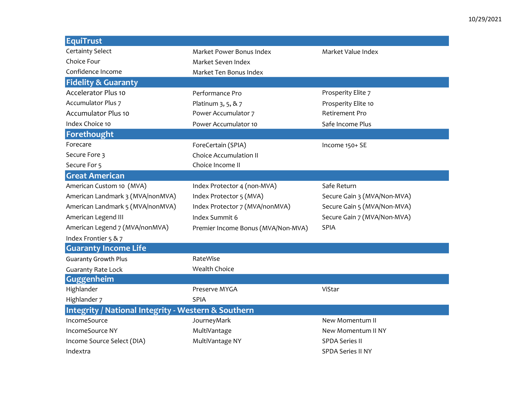| <b>EquiTrust</b>                                               |                                    |                             |  |  |
|----------------------------------------------------------------|------------------------------------|-----------------------------|--|--|
| <b>Certainty Select</b>                                        | Market Power Bonus Index           | Market Value Index          |  |  |
| Choice Four                                                    | Market Seven Index                 |                             |  |  |
| Confidence Income                                              | Market Ten Bonus Index             |                             |  |  |
| <b>Fidelity &amp; Guaranty</b>                                 |                                    |                             |  |  |
| <b>Accelerator Plus 10</b>                                     | Performance Pro                    | Prosperity Elite 7          |  |  |
| <b>Accumulator Plus 7</b>                                      | Platinum 3, 5, & 7                 | Prosperity Elite 10         |  |  |
| <b>Accumulator Plus 10</b>                                     | Power Accumulator 7                | <b>Retirement Pro</b>       |  |  |
| Index Choice 10                                                | Power Accumulator 10               | Safe Income Plus            |  |  |
| Forethought                                                    |                                    |                             |  |  |
| Forecare                                                       | ForeCertain (SPIA)                 | Income 150+ SE              |  |  |
| Secure Fore 3                                                  | <b>Choice Accumulation II</b>      |                             |  |  |
| Secure For 5                                                   | Choice Income II                   |                             |  |  |
| <b>Great American</b>                                          |                                    |                             |  |  |
| American Custom 10 (MVA)                                       | Index Protector 4 (non-MVA)        | Safe Return                 |  |  |
| American Landmark 3 (MVA/nonMVA)                               | Index Protector 5 (MVA)            | Secure Gain 3 (MVA/Non-MVA) |  |  |
| American Landmark 5 (MVA/nonMVA)                               | Index Protector 7 (MVA/nonMVA)     | Secure Gain 5 (MVA/Non-MVA) |  |  |
| American Legend III                                            | Index Summit 6                     | Secure Gain 7 (MVA/Non-MVA) |  |  |
| American Legend 7 (MVA/nonMVA)                                 | Premier Income Bonus (MVA/Non-MVA) | <b>SPIA</b>                 |  |  |
| Index Frontier 5 & 7                                           |                                    |                             |  |  |
| <b>Guaranty Income Life</b>                                    |                                    |                             |  |  |
| <b>Guaranty Growth Plus</b>                                    | RateWise                           |                             |  |  |
| <b>Guaranty Rate Lock</b>                                      | Wealth Choice                      |                             |  |  |
| Guggenheim                                                     |                                    |                             |  |  |
| Highlander                                                     | Preserve MYGA                      | ViStar                      |  |  |
| Highlander 7                                                   | <b>SPIA</b>                        |                             |  |  |
| <b>Integrity / National Integrity - Western &amp; Southern</b> |                                    |                             |  |  |
| IncomeSource                                                   | JourneyMark                        | New Momentum II             |  |  |
| IncomeSource NY                                                | MultiVantage                       | New Momentum II NY          |  |  |
| Income Source Select (DIA)                                     | MultiVantage NY                    | <b>SPDA Series II</b>       |  |  |
| Indextra                                                       |                                    | <b>SPDA Series II NY</b>    |  |  |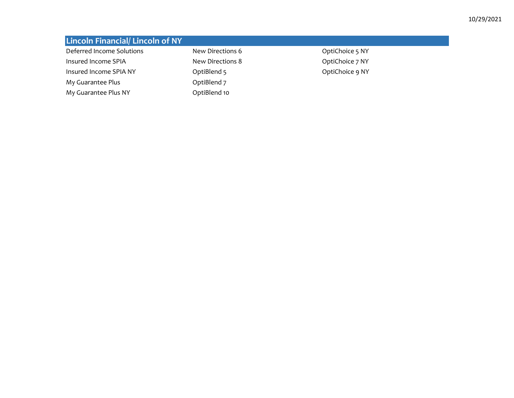| <b>Lincoln Financial/Lincoln of NY</b> |                  |                 |
|----------------------------------------|------------------|-----------------|
| Deferred Income Solutions              | New Directions 6 | OptiChoice 5 NY |
| Insured Income SPIA                    | New Directions 8 | OptiChoice 7 NY |
| Insured Income SPIA NY                 | OptiBlend 5      | OptiChoice 9 NY |
| My Guarantee Plus                      | OptiBlend 7      |                 |
| My Guarantee Plus NY                   | OptiBlend 10     |                 |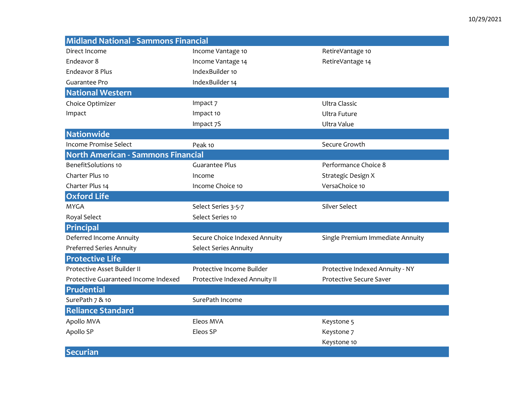| <b>Midland National - Sammons Financial</b> |                               |                                  |  |  |
|---------------------------------------------|-------------------------------|----------------------------------|--|--|
| Direct Income                               | Income Vantage 10             | RetireVantage 10                 |  |  |
| Endeavor 8                                  | Income Vantage 14             | RetireVantage 14                 |  |  |
| Endeavor 8 Plus                             | IndexBuilder 10               |                                  |  |  |
| Guarantee Pro                               | IndexBuilder 14               |                                  |  |  |
| <b>National Western</b>                     |                               |                                  |  |  |
| Choice Optimizer                            | Impact 7                      | <b>Ultra Classic</b>             |  |  |
| Impact                                      | Impact 10                     | <b>Ultra Future</b>              |  |  |
|                                             | Impact 7S                     | Ultra Value                      |  |  |
| Nationwide                                  |                               |                                  |  |  |
| Income Promise Select                       | Peak 10                       | Secure Growth                    |  |  |
| North American - Sammons Financial          |                               |                                  |  |  |
| <b>BenefitSolutions 10</b>                  | <b>Guarantee Plus</b>         | Performance Choice 8             |  |  |
| Charter Plus 10                             | Income                        | Strategic Design X               |  |  |
| Charter Plus 14                             | Income Choice 10              | VersaChoice 10                   |  |  |
| <b>Oxford Life</b>                          |                               |                                  |  |  |
| <b>MYGA</b>                                 | Select Series 3-5-7           | Silver Select                    |  |  |
| Royal Select                                | Select Series 10              |                                  |  |  |
| Principal                                   |                               |                                  |  |  |
| Deferred Income Annuity                     | Secure Choice Indexed Annuity | Single Premium Immediate Annuity |  |  |
| Preferred Series Annuity                    | Select Series Annuity         |                                  |  |  |
| <b>Protective Life</b>                      |                               |                                  |  |  |
| Protective Asset Builder II                 | Protective Income Builder     | Protective Indexed Annuity - NY  |  |  |
| Protective Guaranteed Income Indexed        | Protective Indexed Annuity II | <b>Protective Secure Saver</b>   |  |  |
| Prudential                                  |                               |                                  |  |  |
| SurePath 7 & 10                             | SurePath Income               |                                  |  |  |
| <b>Reliance Standard</b>                    |                               |                                  |  |  |
| Apollo MVA                                  | Eleos MVA                     | Keystone 5                       |  |  |
| Apollo SP                                   | Eleos SP                      | Keystone 7                       |  |  |
|                                             |                               | Keystone 10                      |  |  |
| <b>Securian</b>                             |                               |                                  |  |  |